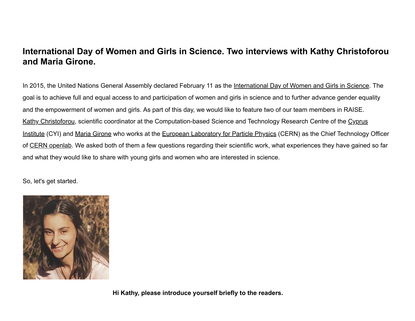# **International Day of Women and Girls in Science. Two interviews with Kathy Christoforou and Maria Girone.**

In 2015, the United Nations General Assembly declared February 11 as the [International Day of Women and Girls in Science.](https://www.un.org/en/observances/women-and-girls-in-science-day) The goal is to achieve full and equal access to and participation of women and girls in science and to further advance gender equality and the empowerment of women and girls. As part of this day, we would like to feature two of our team members in RAISE. [Kathy Christoforou, scientific coordinator at the Computation-based Science and Technology Research Centre of the](https://www.cyi.ac.cy/) Cyprus Institute (CYI) and [Maria Girone](https://www.linkedin.com/in/maria-girone-4b375020/) who works at the [European Laboratory for Particle Physics](https://home.cern/) (CERN) as the Chief Technology Officer of [CERN openlab.](https://home.cern/science/computing/cern-openlab) We asked both of them a few questions regarding their scientific work, what experiences they have gained so far and what they would like to share with young girls and women who are interested in science.

So, let's get started.



**Hi Kathy, please introduce yourself briefly to the readers.**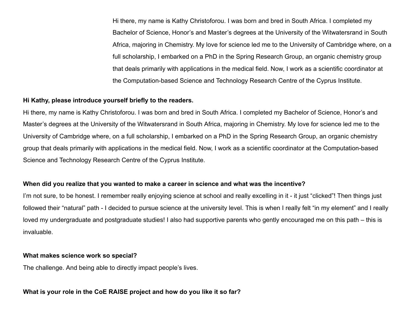Hi there, my name is Kathy Christoforou. I was born and bred in South Africa. I completed my Bachelor of Science, Honor's and Master's degrees at the University of the Witwatersrand in South Africa, majoring in Chemistry. My love for science led me to the University of Cambridge where, on a full scholarship, I embarked on a PhD in the Spring Research Group, an organic chemistry group that deals primarily with applications in the medical field. Now, I work as a scientific coordinator at the Computation-based Science and Technology Research Centre of the Cyprus Institute.

## **Hi Kathy, please introduce yourself briefly to the readers.**

Hi there, my name is Kathy Christoforou. I was born and bred in South Africa. I completed my Bachelor of Science, Honor's and Master's degrees at the University of the Witwatersrand in South Africa, majoring in Chemistry. My love for science led me to the University of Cambridge where, on a full scholarship, I embarked on a PhD in the Spring Research Group, an organic chemistry group that deals primarily with applications in the medical field. Now, I work as a scientific coordinator at the Computation-based Science and Technology Research Centre of the Cyprus Institute.

## **When did you realize that you wanted to make a career in science and what was the incentive?**

I'm not sure, to be honest. I remember really enjoying science at school and really excelling in it - it just "clicked"! Then things just followed their "natural" path - I decided to pursue science at the university level. This is when I really felt "in my element" and I really loved my undergraduate and postgraduate studies! I also had supportive parents who gently encouraged me on this path – this is invaluable.

## **What makes science work so special?**

The challenge. And being able to directly impact people's lives.

# **What is your role in the CoE RAISE project and how do you like it so far?**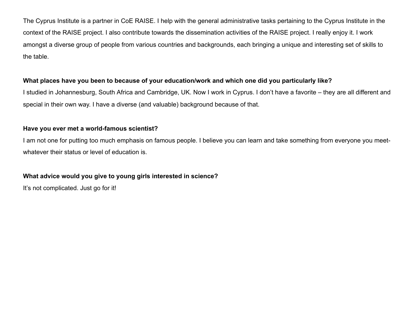The Cyprus Institute is a partner in CoE RAISE. I help with the general administrative tasks pertaining to the Cyprus Institute in the context of the RAISE project. I also contribute towards the dissemination activities of the RAISE project. I really enjoy it. I work amongst a diverse group of people from various countries and backgrounds, each bringing a unique and interesting set of skills to the table.

# **What places have you been to because of your education/work and which one did you particularly like?**

I studied in Johannesburg, South Africa and Cambridge, UK. Now I work in Cyprus. I don't have a favorite – they are all different and special in their own way. I have a diverse (and valuable) background because of that.

## **Have you ever met a world-famous scientist?**

I am not one for putting too much emphasis on famous people. I believe you can learn and take something from everyone you meetwhatever their status or level of education is.

# **What advice would you give to young girls interested in science?**

It's not complicated. Just go for it!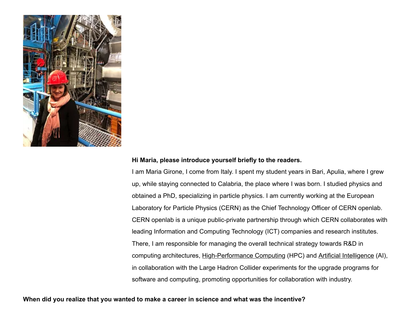

#### **Hi Maria, please introduce yourself briefly to the readers.**

I am Maria Girone, I come from Italy. I spent my student years in Bari, Apulia, where I grew up, while staying connected to Calabria, the place where I was born. I studied physics and obtained a PhD, specializing in particle physics. I am currently working at the European Laboratory for Particle Physics (CERN) as the Chief Technology Officer of CERN openlab. CERN openlab is a unique public-private partnership through which CERN collaborates with leading Information and Computing Technology (ICT) companies and research institutes. There, I am responsible for managing the overall technical strategy towards R&D in computing architectures, [High-Performance Computing](https://en.wikipedia.org/wiki/Supercomputer) (HPC) and [Artificial Intelligence](https://en.wikipedia.org/wiki/Artificial_intelligence) (AI), in collaboration with the Large Hadron Collider experiments for the upgrade programs for software and computing, promoting opportunities for collaboration with industry.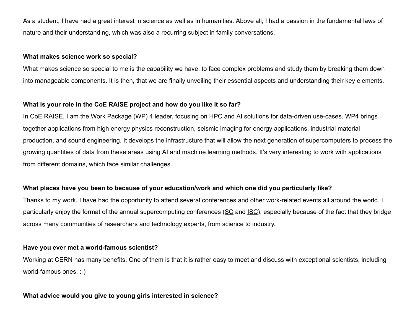As a student, I have had a great interest in science as well as in humanities. Above all, I had a passion in the fundamental laws of nature and their understanding, which was also a recurring subject in family conversations.

## **What makes science work so special?**

What makes science so special to me is the capability we have, to face complex problems and study them by breaking them down into manageable components. It is then, that we are finally unveiling their essential aspects and understanding their key elements.

## **What is your role in the CoE RAISE project and how do you like it so far?**

In CoE RAISE, I am the [Work Package \(WP\) 4](https://www.coe-raise.eu/wp4) leader, focusing on HPC and AI solutions for data-driven [use-cases](https://www.coe-raise.eu/use-cases). WP4 brings together applications from high energy physics reconstruction, seismic imaging for energy applications, industrial material production, and sound engineering. It develops the infrastructure that will allow the next generation of supercomputers to process the growing quantities of data from these areas using AI and machine learning methods. It's very interesting to work with applications from different domains, which face similar challenges.

## **What places have you been to because of your education/work and which one did you particularly like?**

Thanks to my work, I have had the opportunity to attend several conferences and other work-related events all around the world. I particularly enjoy the format of the annual supercomputing conferences ([SC](https://sc22.supercomputing.org/) and [ISC\)](https://www.isc-hpc.com/), especially because of the fact that they bridge across many communities of researchers and technology experts, from science to industry.

## **Have you ever met a world-famous scientist?**

Working at CERN has many benefits. One of them is that it is rather easy to meet and discuss with exceptional scientists, including world-famous ones. :-)

## **What advice would you give to young girls interested in science?**